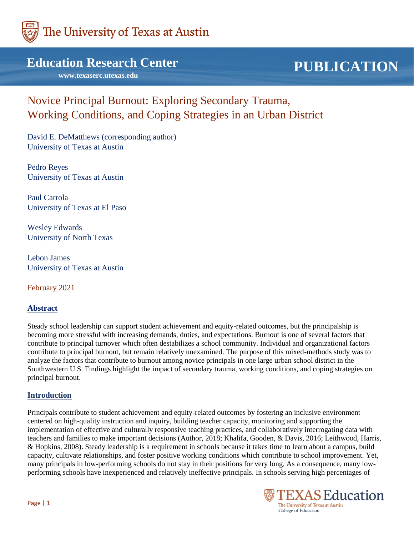

# **Education Research Center**

 **www.texaserc.utexas.edu**

# **PUBLICATION**

# Novice Principal Burnout: Exploring Secondary Trauma, Working Conditions, and Coping Strategies in an Urban District

David E. DeMatthews (corresponding author) University of Texas at Austin

Pedro Reyes University of Texas at Austin

Paul Carrola University of Texas at El Paso

Wesley Edwards University of North Texas

Lebon James University of Texas at Austin

February 2021

# **Abstract**

Steady school leadership can support student achievement and equity-related outcomes, but the principalship is becoming more stressful with increasing demands, duties, and expectations. Burnout is one of several factors that contribute to principal turnover which often destabilizes a school community. Individual and organizational factors contribute to principal burnout, but remain relatively unexamined. The purpose of this mixed-methods study was to analyze the factors that contribute to burnout among novice principals in one large urban school district in the Southwestern U.S. Findings highlight the impact of secondary trauma, working conditions, and coping strategies on principal burnout.

### **Introduction**

Principals contribute to student achievement and equity-related outcomes by fostering an inclusive environment centered on high-quality instruction and inquiry, building teacher capacity, monitoring and supporting the implementation of effective and culturally responsive teaching practices, and collaboratively interrogating data with teachers and families to make important decisions (Author, 2018; Khalifa, Gooden, & Davis, 2016; Leithwood, Harris, & Hopkins, 2008). Steady leadership is a requirement in schools because it takes time to learn about a campus, build capacity, cultivate relationships, and foster positive working conditions which contribute to school improvement. Yet, many principals in low-performing schools do not stay in their positions for very long. As a consequence, many lowperforming schools have inexperienced and relatively ineffective principals. In schools serving high percentages of

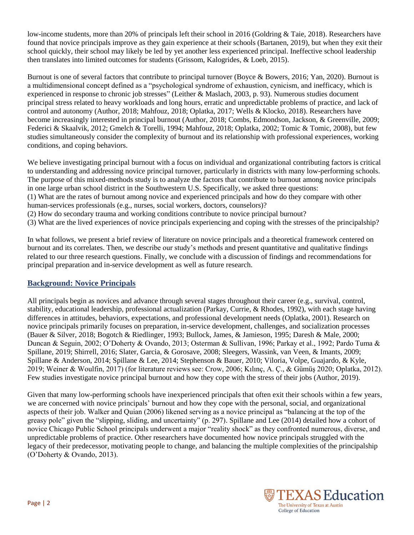low-income students, more than 20% of principals left their school in 2016 (Goldring & Taie, 2018). Researchers have found that novice principals improve as they gain experience at their schools (Bartanen, 2019), but when they exit their school quickly, their school may likely be led by yet another less experienced principal. Ineffective school leadership then translates into limited outcomes for students (Grissom, Kalogrides, & Loeb, 2015).

Burnout is one of several factors that contribute to principal turnover (Boyce & Bowers, 2016; Yan, 2020). Burnout is a multidimensional concept defined as a "psychological syndrome of exhaustion, cynicism, and inefficacy, which is experienced in response to chronic job stresses" (Leither & Maslach, 2003, p. 93). Numerous studies document principal stress related to heavy workloads and long hours, erratic and unpredictable problems of practice, and lack of control and autonomy (Author, 2018; Mahfouz, 2018; Oplatka, 2017; Wells & Klocko, 2018). Researchers have become increasingly interested in principal burnout (Author, 2018; Combs, Edmondson, Jackson, & Greenville, 2009; Federici & Skaalvik, 2012; Gmelch & Torelli, 1994; Mahfouz, 2018; Oplatka, 2002; Tomic & Tomic, 2008), but few studies simultaneously consider the complexity of burnout and its relationship with professional experiences, working conditions, and coping behaviors.

We believe investigating principal burnout with a focus on individual and organizational contributing factors is critical to understanding and addressing novice principal turnover, particularly in districts with many low-performing schools. The purpose of this mixed-methods study is to analyze the factors that contribute to burnout among novice principals in one large urban school district in the Southwestern U.S. Specifically, we asked three questions:

(1) What are the rates of burnout among novice and experienced principals and how do they compare with other human-services professionals (e.g., nurses, social workers, doctors, counselors)?

(2) How do secondary trauma and working conditions contribute to novice principal burnout?

(3) What are the lived experiences of novice principals experiencing and coping with the stresses of the principalship?

In what follows, we present a brief review of literature on novice principals and a theoretical framework centered on burnout and its correlates. Then, we describe our study's methods and present quantitative and qualitative findings related to our three research questions. Finally, we conclude with a discussion of findings and recommendations for principal preparation and in-service development as well as future research.

# **Background: Novice Principals**

All principals begin as novices and advance through several stages throughout their career (e.g., survival, control, stability, educational leadership, professional actualization (Parkay, Currie, & Rhodes, 1992), with each stage having differences in attitudes, behaviors, expectations, and professional development needs (Oplatka, 2001). Research on novice principals primarily focuses on preparation, in-service development, challenges, and socialization processes (Bauer & Silver, 2018; Bogotch & Riedlinger, 1993; Bullock, James, & Jamieson, 1995; Daresh & Male, 2000; Duncan & Seguin, 2002; O'Doherty & Ovando, 2013; Osterman & Sullivan, 1996; Parkay et al., 1992; Pardo Tuma & Spillane, 2019; Shirrell, 2016; Slater, Garcia, & Gorosave, 2008; Sleegers, Wassink, van Veen, & Imants, 2009; Spillane & Anderson, 2014; Spillane & Lee, 2014; Stephenson & Bauer, 2010; Viloria, Volpe, Guajardo, & Kyle, 2019; Weiner & Woulfin, 2017) (for literature reviews see: Crow, 2006; Kılınç, A. Ç., & Gümüş 2020; Oplatka, 2012). Few studies investigate novice principal burnout and how they cope with the stress of their jobs (Author, 2019).

Given that many low-performing schools have inexperienced principals that often exit their schools within a few years, we are concerned with novice principals' burnout and how they cope with the personal, social, and organizational aspects of their job. Walker and Quian (2006) likened serving as a novice principal as "balancing at the top of the greasy pole" given the "slipping, sliding, and uncertainty" (p. 297). Spillane and Lee (2014) detailed how a cohort of novice Chicago Public School principals underwent a major "reality shock" as they confronted numerous, diverse, and unpredictable problems of practice. Other researchers have documented how novice principals struggled with the legacy of their predecessor, motivating people to change, and balancing the multiple complexities of the principalship (O'Doherty & Ovando, 2013).

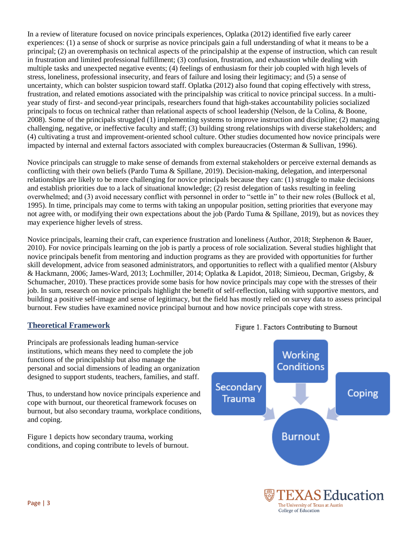In a review of literature focused on novice principals experiences, Oplatka (2012) identified five early career experiences: (1) a sense of shock or surprise as novice principals gain a full understanding of what it means to be a principal; (2) an overemphasis on technical aspects of the principalship at the expense of instruction, which can result in frustration and limited professional fulfillment; (3) confusion, frustration, and exhaustion while dealing with multiple tasks and unexpected negative events; (4) feelings of enthusiasm for their job coupled with high levels of stress, loneliness, professional insecurity, and fears of failure and losing their legitimacy; and (5) a sense of uncertainty, which can bolster suspicion toward staff. Oplatka (2012) also found that coping effectively with stress, frustration, and related emotions associated with the principalship was critical to novice principal success. In a multiyear study of first- and second-year principals, researchers found that high-stakes accountability policies socialized principals to focus on technical rather than relational aspects of school leadership (Nelson, de la Colina, & Boone, 2008). Some of the principals struggled (1) implementing systems to improve instruction and discipline; (2) managing challenging, negative, or ineffective faculty and staff; (3) building strong relationships with diverse stakeholders; and (4) cultivating a trust and improvement-oriented school culture. Other studies documented how novice principals were impacted by internal and external factors associated with complex bureaucracies (Osterman & Sullivan, 1996).

Novice principals can struggle to make sense of demands from external stakeholders or perceive external demands as conflicting with their own beliefs (Pardo Tuma & Spillane, 2019). Decision-making, delegation, and interpersonal relationships are likely to be more challenging for novice principals because they can: (1) struggle to make decisions and establish priorities due to a lack of situational knowledge; (2) resist delegation of tasks resulting in feeling overwhelmed; and (3) avoid necessary conflict with personnel in order to "settle in" to their new roles (Bullock et al, 1995). In time, principals may come to terms with taking an unpopular position, setting priorities that everyone may not agree with, or modifying their own expectations about the job (Pardo Tuma & Spillane, 2019), but as novices they may experience higher levels of stress.

Novice principals, learning their craft, can experience frustration and loneliness (Author, 2018; Stephenon & Bauer, 2010). For novice principals learning on the job is partly a process of role socialization. Several studies highlight that novice principals benefit from mentoring and induction programs as they are provided with opportunities for further skill development, advice from seasoned administrators, and opportunities to reflect with a qualified mentor (Alsbury & Hackmann, 2006; James-Ward, 2013; Lochmiller, 2014; Oplatka & Lapidot, 2018; Simieou, Decman, Grigsby, & Schumacher, 2010). These practices provide some basis for how novice principals may cope with the stresses of their job. In sum, research on novice principals highlight the benefit of self-reflection, talking with supportive mentors, and building a positive self-image and sense of legitimacy, but the field has mostly relied on survey data to assess principal burnout. Few studies have examined novice principal burnout and how novice principals cope with stress.

# **Theoretical Framework**

Principals are professionals leading human-service institutions, which means they need to complete the job functions of the principalship but also manage the personal and social dimensions of leading an organization designed to support students, teachers, families, and staff.

Thus, to understand how novice principals experience and cope with burnout, our theoretical framework focuses on burnout, but also secondary trauma, workplace conditions, and coping.

Figure 1 depicts how secondary trauma, working conditions, and coping contribute to levels of burnout.



### Figure 1. Factors Contributing to Burnout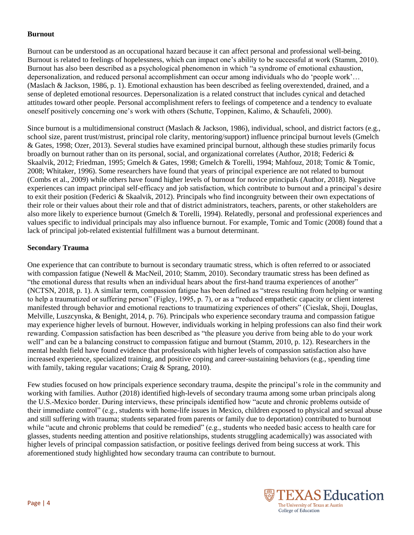#### **Burnout**

Burnout can be understood as an occupational hazard because it can affect personal and professional well-being. Burnout is related to feelings of hopelessness, which can impact one's ability to be successful at work (Stamm, 2010). Burnout has also been described as a psychological phenomenon in which "a syndrome of emotional exhaustion, depersonalization, and reduced personal accomplishment can occur among individuals who do 'people work'… (Maslach & Jackson, 1986, p. 1). Emotional exhaustion has been described as feeling overextended, drained, and a sense of depleted emotional resources. Depersonalization is a related construct that includes cynical and detached attitudes toward other people. Personal accomplishment refers to feelings of competence and a tendency to evaluate oneself positively concerning one's work with others (Schutte, Toppinen, Kalimo, & Schaufeli, 2000).

Since burnout is a multidimensional construct (Maslach & Jackson, 1986), individual, school, and district factors (e.g., school size, parent trust/mistrust, principal role clarity, mentoring/support) influence principal burnout levels (Gmelch & Gates, 1998; Ozer, 2013). Several studies have examined principal burnout, although these studies primarily focus broadly on burnout rather than on its personal, social, and organizational correlates (Author, 2018; Federici & Skaalvik, 2012; Friedman, 1995; Gmelch & Gates, 1998; Gmelch & Torelli, 1994; Mahfouz, 2018; Tomic & Tomic, 2008; Whitaker, 1996). Some researchers have found that years of principal experience are not related to burnout (Combs et al., 2009) while others have found higher levels of burnout for novice principals (Author, 2018). Negative experiences can impact principal self-efficacy and job satisfaction, which contribute to burnout and a principal's desire to exit their position (Federici & Skaalvik, 2012). Principals who find incongruity between their own expectations of their role or their values about their role and that of district administrators, teachers, parents, or other stakeholders are also more likely to experience burnout (Gmelch & Torelli, 1994). Relatedly, personal and professional experiences and values specific to individual principals may also influence burnout. For example, Tomic and Tomic (2008) found that a lack of principal job-related existential fulfillment was a burnout determinant.

#### **Secondary Trauma**

One experience that can contribute to burnout is secondary traumatic stress, which is often referred to or associated with compassion fatigue (Newell & MacNeil, 2010; Stamm, 2010). Secondary traumatic stress has been defined as "the emotional duress that results when an individual hears about the first-hand trauma experiences of another" (NCTSN, 2018, p. 1). A similar term, compassion fatigue has been defined as "stress resulting from helping or wanting to help a traumatized or suffering person" (Figley, 1995, p. 7), or as a "reduced empathetic capacity or client interest manifested through behavior and emotional reactions to traumatizing experiences of others" (Cieslak, Shoji, Douglas, Melville, Luszcynska, & Benight, 2014, p. 76). Principals who experience secondary trauma and compassion fatigue may experience higher levels of burnout. However, individuals working in helping professions can also find their work rewarding. Compassion satisfaction has been described as "the pleasure you derive from being able to do your work well" and can be a balancing construct to compassion fatigue and burnout (Stamm, 2010, p. 12). Researchers in the mental health field have found evidence that professionals with higher levels of compassion satisfaction also have increased experience, specialized training, and positive coping and career-sustaining behaviors (e.g., spending time with family, taking regular vacations; Craig & Sprang, 2010).

Few studies focused on how principals experience secondary trauma, despite the principal's role in the community and working with families. Author (2018) identified high-levels of secondary trauma among some urban principals along the U.S.-Mexico border. During interviews, these principals identified how "acute and chronic problems outside of their immediate control" (e.g., students with home-life issues in Mexico, children exposed to physical and sexual abuse and still suffering with trauma; students separated from parents or family due to deportation) contributed to burnout while "acute and chronic problems that could be remedied" (e.g., students who needed basic access to health care for glasses, students needing attention and positive relationships, students struggling academically) was associated with higher levels of principal compassion satisfaction, or positive feelings derived from being success at work. This aforementioned study highlighted how secondary trauma can contribute to burnout.

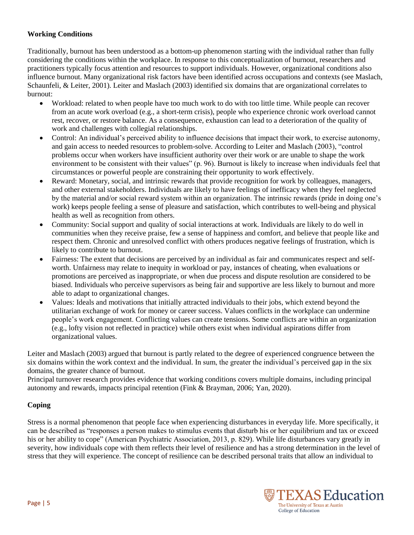## **Working Conditions**

Traditionally, burnout has been understood as a bottom-up phenomenon starting with the individual rather than fully considering the conditions within the workplace. In response to this conceptualization of burnout, researchers and practitioners typically focus attention and resources to support individuals. However, organizational conditions also influence burnout. Many organizational risk factors have been identified across occupations and contexts (see Maslach, Schaunfeli, & Leiter, 2001). Leiter and Maslach (2003) identified six domains that are organizational correlates to burnout:

- Workload: related to when people have too much work to do with too little time. While people can recover from an acute work overload (e.g., a short-term crisis), people who experience chronic work overload cannot rest, recover, or restore balance. As a consequence, exhaustion can lead to a deterioration of the quality of work and challenges with collegial relationships.
- Control: An individual's perceived ability to influence decisions that impact their work, to exercise autonomy, and gain access to needed resources to problem-solve. According to Leiter and Maslach (2003), "control problems occur when workers have insufficient authority over their work or are unable to shape the work environment to be consistent with their values" (p. 96). Burnout is likely to increase when individuals feel that circumstances or powerful people are constraining their opportunity to work effectively.
- Reward: Monetary, social, and intrinsic rewards that provide recognition for work by colleagues, managers, and other external stakeholders. Individuals are likely to have feelings of inefficacy when they feel neglected by the material and/or social reward system within an organization. The intrinsic rewards (pride in doing one's work) keeps people feeling a sense of pleasure and satisfaction, which contributes to well-being and physical health as well as recognition from others.
- Community: Social support and quality of social interactions at work. Individuals are likely to do well in communities when they receive praise, few a sense of happiness and comfort, and believe that people like and respect them. Chronic and unresolved conflict with others produces negative feelings of frustration, which is likely to contribute to burnout.
- Fairness: The extent that decisions are perceived by an individual as fair and communicates respect and selfworth. Unfairness may relate to inequity in workload or pay, instances of cheating, when evaluations or promotions are perceived as inappropriate, or when due process and dispute resolution are considered to be biased. Individuals who perceive supervisors as being fair and supportive are less likely to burnout and more able to adapt to organizational changes.
- Values: Ideals and motivations that initially attracted individuals to their jobs, which extend beyond the utilitarian exchange of work for money or career success. Values conflicts in the workplace can undermine people's work engagement. Conflicting values can create tensions. Some conflicts are within an organization (e.g., lofty vision not reflected in practice) while others exist when individual aspirations differ from organizational values.

Leiter and Maslach (2003) argued that burnout is partly related to the degree of experienced congruence between the six domains within the work context and the individual. In sum, the greater the individual's perceived gap in the six domains, the greater chance of burnout.

Principal turnover research provides evidence that working conditions covers multiple domains, including principal autonomy and rewards, impacts principal retention (Fink & Brayman, 2006; Yan, 2020).

# **Coping**

Stress is a normal phenomenon that people face when experiencing disturbances in everyday life. More specifically, it can be described as "responses a person makes to stimulus events that disturb his or her equilibrium and tax or exceed his or her ability to cope" (American Psychiatric Association, 2013, p. 829). While life disturbances vary greatly in severity, how individuals cope with them reflects their level of resilience and has a strong determination in the level of stress that they will experience. The concept of resilience can be described personal traits that allow an individual to

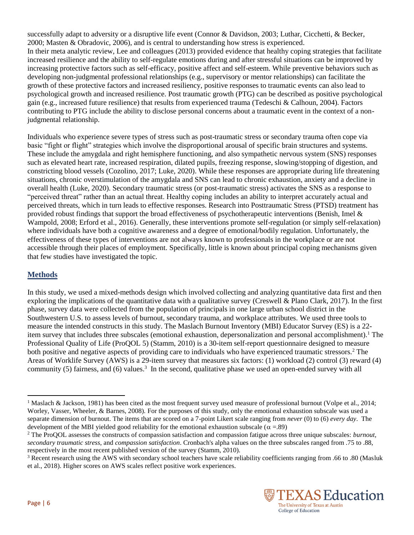successfully adapt to adversity or a disruptive life event (Connor & Davidson, 2003; Luthar, Cicchetti, & Becker, 2000; Masten & Obradovic, 2006), and is central to understanding how stress is experienced. In their meta analytic review, Lee and colleagues (2013) provided evidence that healthy coping strategies that facilitate increased resilience and the ability to self-regulate emotions during and after stressful situations can be improved by increasing protective factors such as self-efficacy, positive affect and self-esteem. While preventive behaviors such as developing non-judgmental professional relationships (e.g., supervisory or mentor relationships) can facilitate the growth of these protective factors and increased resiliency, positive responses to traumatic events can also lead to psychological growth and increased resilience. Post traumatic growth (PTG) can be described as positive psychological gain (e.g., increased future resilience) that results from experienced trauma (Tedeschi & Calhoun, 2004). Factors contributing to PTG include the ability to disclose personal concerns about a traumatic event in the context of a nonjudgmental relationship.

Individuals who experience severe types of stress such as post-traumatic stress or secondary trauma often cope via basic "fight or flight" strategies which involve the disproportional arousal of specific brain structures and systems. These include the amygdala and right hemisphere functioning, and also sympathetic nervous system (SNS) responses such as elevated heart rate, increased respiration, dilated pupils, freezing response, slowing/stopping of digestion, and constricting blood vessels (Cozolino, 2017; Luke, 2020). While these responses are appropriate during life threatening situations, chronic overstimulation of the amygdala and SNS can lead to chronic exhaustion, anxiety and a decline in overall health (Luke, 2020). Secondary traumatic stress (or post-traumatic stress) activates the SNS as a response to "perceived threat" rather than an actual threat. Healthy coping includes an ability to interpret accurately actual and perceived threats, which in turn leads to effective responses. Research into Posttraumatic Stress (PTSD) treatment has provided robust findings that support the broad effectiveness of psychotherapeutic interventions (Benish, Imel  $\&$ Wampold, 2008; Erford et al., 2016). Generally, these interventions promote self-regulation (or simply self-relaxation) where individuals have both a cognitive awareness and a degree of emotional/bodily regulation. Unfortunately, the effectiveness of these types of interventions are not always known to professionals in the workplace or are not accessible through their places of employment. Specifically, little is known about principal coping mechanisms given that few studies have investigated the topic.

# **Methods**

In this study, we used a mixed-methods design which involved collecting and analyzing quantitative data first and then exploring the implications of the quantitative data with a qualitative survey (Creswell & Plano Clark, 2017). In the first phase, survey data were collected from the population of principals in one large urban school district in the Southwestern U.S. to assess levels of burnout, secondary trauma, and workplace attributes. We used three tools to measure the intended constructs in this study. The Maslach Burnout Inventory (MBI) Educator Survey (ES) is a 22 item survey that includes three subscales (emotional exhaustion, depersonalization and personal accomplishment).<sup>1</sup> The Professional Quality of Life (ProQOL 5) (Stamm, 2010) is a 30-item self-report questionnaire designed to measure both positive and negative aspects of providing care to individuals who have experienced traumatic stressors.<sup>2</sup> The Areas of Worklife Survey (AWS) is a 29-item survey that measures six factors: (1) workload (2) control (3) reward (4) community (5) fairness, and (6) values.<sup>3</sup> In the second, qualitative phase we used an open-ended survey with all

<sup>&</sup>lt;sup>3</sup> Recent research using the AWS with secondary school teachers have scale reliability coefficients ranging from .66 to .80 (Masluk et al., 2018). Higher scores on AWS scales reflect positive work experiences.



 $\overline{\phantom{a}}$ 

<sup>&</sup>lt;sup>1</sup> Maslach & Jackson, 1981) has been cited as the most frequent survey used measure of professional burnout (Volpe et al., 2014; Worley, Vasser, Wheeler, & Barnes, 2008). For the purposes of this study, only the emotional exhaustion subscale was used a separate dimension of burnout. The items that are scored on a 7-point Likert scale ranging from *never* (0) to (6) *every day*. The development of the MBI yielded good reliability for the emotional exhaustion subscale ( $\alpha = .89$ )

<sup>2</sup> The ProQOL assesses the constructs of compassion satisfaction and compassion fatigue across three unique subscales: *burnout*, *secondary traumatic stress*, and *compassion satisfaction*. Cronbach's alpha values on the three subscales ranged from .75 to .88, respectively in the most recent published version of the survey (Stamm, 2010).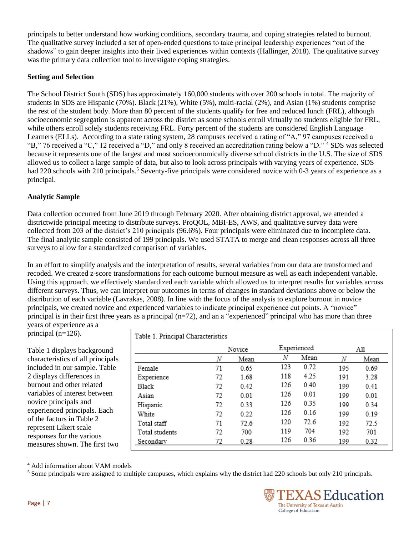principals to better understand how working conditions, secondary trauma, and coping strategies related to burnout. The qualitative survey included a set of open-ended questions to take principal leadership experiences "out of the shadows" to gain deeper insights into their lived experiences within contexts (Hallinger, 2018). The qualitative survey was the primary data collection tool to investigate coping strategies.

## **Setting and Selection**

The School District South (SDS) has approximately 160,000 students with over 200 schools in total. The majority of students in SDS are Hispanic (70%). Black (21%), White (5%), multi-racial (2%), and Asian (1%) students comprise the rest of the student body. More than 80 percent of the students qualify for free and reduced lunch (FRL), although socioeconomic segregation is apparent across the district as some schools enroll virtually no students eligible for FRL, while others enroll solely students receiving FRL. Forty percent of the students are considered English Language Learners (ELLs). According to a state rating system, 28 campuses received a rating of "A," 97 campuses received a "B," 76 received a "C," 12 received a "D," and only 8 received an accreditation rating below a "D." <sup>4</sup> SDS was selected because it represents one of the largest and most socioeconomically diverse school districts in the U.S. The size of SDS allowed us to collect a large sample of data, but also to look across principals with varying years of experience. SDS had 220 schools with 210 principals.<sup>5</sup> Seventy-five principals were considered novice with 0-3 years of experience as a principal.

# **Analytic Sample**

Data collection occurred from June 2019 through February 2020. After obtaining district approval, we attended a districtwide principal meeting to distribute surveys. ProQOL, MBI-ES, AWS, and qualitative survey data were collected from 203 of the district's 210 principals (96.6%). Four principals were eliminated due to incomplete data. The final analytic sample consisted of 199 principals. We used STATA to merge and clean responses across all three surveys to allow for a standardized comparison of variables.

In an effort to simplify analysis and the interpretation of results, several variables from our data are transformed and recoded. We created z-score transformations for each outcome burnout measure as well as each independent variable. Using this approach, we effectively standardized each variable which allowed us to interpret results for variables across different surveys. Thus, we can interpret our outcomes in terms of changes in standard deviations above or below the distribution of each variable (Lavrakas, 2008). In line with the focus of the analysis to explore burnout in novice principals, we created novice and experienced variables to indicate principal experience cut points. A "novice" principal is in their first three years as a principal  $(n=72)$ , and an a "experienced" principal who has more than three

years of experience as a principal (n=126).

Table 1 displays background characteristics of all principals included in our sample. Table 2 displays differences in burnout and other related variables of interest between novice principals and experienced principals. Each of the factors in Table 2 represent Likert scale responses for the various measures shown. The first two

| Table 1. Principal Characteristics |    |        |             |      |     |      |  |
|------------------------------------|----|--------|-------------|------|-----|------|--|
|                                    |    | Novice | Experienced |      | A11 |      |  |
|                                    | Ν  | Mean   | N           | Mean | N   | Mean |  |
| Female                             | 71 | 0.65   | 123         | 0.72 | 195 | 0.69 |  |
| Experience                         | 72 | 1.68   | 118         | 4.25 | 191 | 3.28 |  |
| <b>Black</b>                       | 72 | 0.42   | 126         | 0.40 | 199 | 0.41 |  |
| Asian                              | 72 | 0.01   | 126         | 0.01 | 199 | 0.01 |  |
| Hispanic                           | 72 | 0.33   | 126         | 0.35 | 199 | 0.34 |  |
| White                              | 72 | 0.22   | 126         | 0.16 | 199 | 0.19 |  |
| Total staff                        | 71 | 72.6   | 120         | 72.6 | 192 | 72.5 |  |
| Total students                     | 72 | 700    | 119         | 704  | 192 | 701  |  |
| Secondary                          | 72 | 0.28   | 126         | 0.36 | 199 | 0.32 |  |

<sup>4</sup> Add information about VAM models

<sup>&</sup>lt;sup>5</sup> Some principals were assigned to multiple campuses, which explains why the district had 220 schools but only 210 principals.



l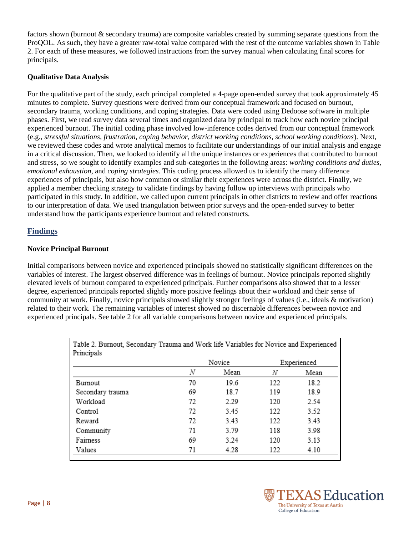factors shown (burnout & secondary trauma) are composite variables created by summing separate questions from the ProQOL. As such, they have a greater raw-total value compared with the rest of the outcome variables shown in Table 2. For each of these measures, we followed instructions from the survey manual when calculating final scores for principals.

#### **Qualitative Data Analysis**

For the qualitative part of the study, each principal completed a 4-page open-ended survey that took approximately 45 minutes to complete. Survey questions were derived from our conceptual framework and focused on burnout, secondary trauma, working conditions, and coping strategies. Data were coded using Dedoose software in multiple phases. First, we read survey data several times and organized data by principal to track how each novice principal experienced burnout. The initial coding phase involved low-inference codes derived from our conceptual framework (e.g., *stressful situations, frustration, coping behavior, district working conditions, school working conditions*). Next, we reviewed these codes and wrote analytical memos to facilitate our understandings of our initial analysis and engage in a critical discussion. Then, we looked to identify all the unique instances or experiences that contributed to burnout and stress, so we sought to identify examples and sub-categories in the following areas: *working conditions and duties*, *emotional exhaustion*, and *coping strategies*. This coding process allowed us to identify the many difference experiences of principals, but also how common or similar their experiences were across the district. Finally, we applied a member checking strategy to validate findings by having follow up interviews with principals who participated in this study. In addition, we called upon current principals in other districts to review and offer reactions to our interpretation of data. We used triangulation between prior surveys and the open-ended survey to better understand how the participants experience burnout and related constructs.

# **Findings**

### **Novice Principal Burnout**

Initial comparisons between novice and experienced principals showed no statistically significant differences on the variables of interest. The largest observed difference was in feelings of burnout. Novice principals reported slightly elevated levels of burnout compared to experienced principals. Further comparisons also showed that to a lesser degree, experienced principals reported slightly more positive feelings about their workload and their sense of community at work. Finally, novice principals showed slightly stronger feelings of values (i.e., ideals & motivation) related to their work. The remaining variables of interest showed no discernable differences between novice and experienced principals. See table 2 for all variable comparisons between novice and experienced principals.

|                  | Novice |      | Experienced |      |
|------------------|--------|------|-------------|------|
|                  | Ν      | Mean | Ν           | Mean |
| Burnout          | 70     | 19.6 | 122         | 18.2 |
| Secondary trauma | 69     | 18.7 | 119         | 18.9 |
| Workload         | 72     | 2.29 | 120         | 2.54 |
| Control          | 72     | 3.45 | 122         | 3.52 |
| Reward           | 72     | 3.43 | 122         | 3.43 |
| Community        | 71     | 3.79 | 118         | 3.98 |
| Fairness         | 69     | 3.24 | 120         | 3.13 |
| Values           | 71     | 4.28 | 122         | 4.10 |

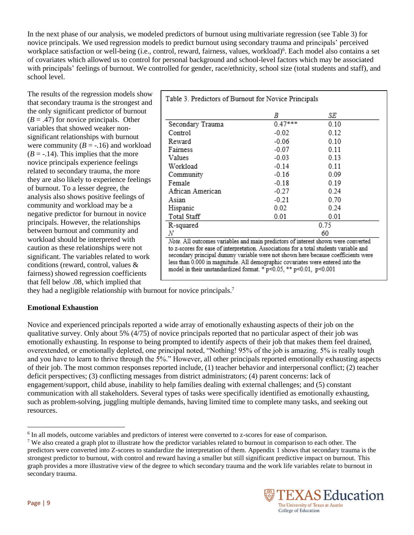In the next phase of our analysis, we modeled predictors of burnout using multivariate regression (see Table 3) for novice principals. We used regression models to predict burnout using secondary trauma and principals' perceived workplace satisfaction or well-being (i.e., control, reward, fairness, values, workload)<sup>6</sup>. Each model also contains a set of covariates which allowed us to control for personal background and school-level factors which may be associated with principals' feelings of burnout. We controlled for gender, race/ethnicity, school size (total students and staff), and school level.

The results of the regression models show that secondary trauma is the strongest and the only significant predictor of burnout  $(B = .47)$  for novice principals. Other variables that showed weaker nonsignificant relationships with burnout were community  $(B = -.16)$  and workload  $(B = -0.14)$ . This implies that the more novice principals experience feelings related to secondary trauma, the more they are also likely to experience feelings of burnout. To a lesser degree, the analysis also shows positive feelings of community and workload may be a negative predictor for burnout in novice principals. However, the relationships between burnout and community and workload should be interpreted with caution as these relationships were not significant. The variables related to work conditions (reward, control, values & fairness) showed regression coefficients that fell below .08, which implied that

|                                                                                                                                                                                                                                                                                                                                                                                                                         | В         | SE   |  |  |
|-------------------------------------------------------------------------------------------------------------------------------------------------------------------------------------------------------------------------------------------------------------------------------------------------------------------------------------------------------------------------------------------------------------------------|-----------|------|--|--|
| Secondary Trauma                                                                                                                                                                                                                                                                                                                                                                                                        | $0.47***$ | 0.10 |  |  |
| Control                                                                                                                                                                                                                                                                                                                                                                                                                 | $-0.02$   | 0.12 |  |  |
| Reward                                                                                                                                                                                                                                                                                                                                                                                                                  | $-0.06$   | 0.10 |  |  |
| Fairness                                                                                                                                                                                                                                                                                                                                                                                                                | $-0.07$   | 0.11 |  |  |
| Values                                                                                                                                                                                                                                                                                                                                                                                                                  | $-0.03$   | 0.13 |  |  |
| Workload                                                                                                                                                                                                                                                                                                                                                                                                                | $-0.14$   | 0.11 |  |  |
| Community                                                                                                                                                                                                                                                                                                                                                                                                               | $-0.16$   | 0.09 |  |  |
| Female                                                                                                                                                                                                                                                                                                                                                                                                                  | $-0.18$   | 0.19 |  |  |
| African American                                                                                                                                                                                                                                                                                                                                                                                                        | $-0.27$   | 0.24 |  |  |
| Asian                                                                                                                                                                                                                                                                                                                                                                                                                   | $-0.21$   | 0.70 |  |  |
| Hispanic                                                                                                                                                                                                                                                                                                                                                                                                                | 0.02      | 0.24 |  |  |
| Total Staff                                                                                                                                                                                                                                                                                                                                                                                                             | 0.01      | 0.01 |  |  |
| R-squared                                                                                                                                                                                                                                                                                                                                                                                                               | 0.75      |      |  |  |
| N                                                                                                                                                                                                                                                                                                                                                                                                                       | 60        |      |  |  |
| Note. All outcomes variables and main predictors of interest shown were converted<br>to z-scores for ease of interpretation. Associations for a total students variable and<br>secondary principal dummy variable were not shown here because coefficients were<br>less than 0.000 in magnitude. All demographic covariates were entered into the<br>model in their unstandardized format. * p<0.05, ** p<0.01, p<0.001 |           |      |  |  |

they had a negligible relationship with burnout for novice principals.<sup>7</sup>

### **Emotional Exhaustion**

Novice and experienced principals reported a wide array of emotionally exhausting aspects of their job on the qualitative survey. Only about 5% (4/75) of novice principals reported that no particular aspect of their job was emotionally exhausting. In response to being prompted to identify aspects of their job that makes them feel drained, overextended, or emotionally depleted, one principal noted, "Nothing! 95% of the job is amazing. 5% is really tough and you have to learn to thrive through the 5%." However, all other principals reported emotionally exhausting aspects of their job. The most common responses reported include, (1) teacher behavior and interpersonal conflict; (2) teacher deficit perspectives; (3) conflicting messages from district administrators; (4) parent concerns: lack of engagement/support, child abuse, inability to help families dealing with external challenges; and (5) constant communication with all stakeholders. Several types of tasks were specifically identified as emotionally exhausting, such as problem-solving, juggling multiple demands, having limited time to complete many tasks, and seeking out resources.

 $7$  We also created a graph plot to illustrate how the predictor variables related to burnout in comparison to each other. The predictors were converted into Z-scores to standardize the interpretation of them. Appendix 1 shows that secondary trauma is the strongest predictor to burnout, with control and reward having a smaller but still significant predictive impact on burnout. This graph provides a more illustrative view of the degree to which secondary trauma and the work life variables relate to burnout in secondary trauma.



 $\overline{\phantom{a}}$ 

<sup>&</sup>lt;sup>6</sup> In all models, outcome variables and predictors of interest were converted to z-scores for ease of comparison.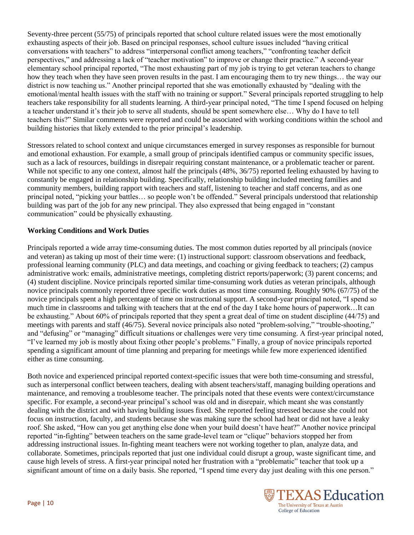Seventy-three percent (55/75) of principals reported that school culture related issues were the most emotionally exhausting aspects of their job. Based on principal responses, school culture issues included "having critical conversations with teachers" to address "interpersonal conflict among teachers," "confronting teacher deficit perspectives," and addressing a lack of "teacher motivation" to improve or change their practice." A second-year elementary school principal reported, "The most exhausting part of my job is trying to get veteran teachers to change how they teach when they have seen proven results in the past. I am encouraging them to try new things… the way our district is now teaching us." Another principal reported that she was emotionally exhausted by "dealing with the emotional/mental health issues with the staff with no training or support." Several principals reported struggling to help teachers take responsibility for all students learning. A third-year principal noted, "The time I spend focused on helping a teacher understand it's their job to serve all students, should be spent somewhere else… Why do I have to tell teachers this?" Similar comments were reported and could be associated with working conditions within the school and building histories that likely extended to the prior principal's leadership.

Stressors related to school context and unique circumstances emerged in survey responses as responsible for burnout and emotional exhaustion. For example, a small group of principals identified campus or community specific issues, such as a lack of resources, buildings in disrepair requiring constant maintenance, or a problematic teacher or parent. While not specific to any one context, almost half the principals (48%, 36/75) reported feeling exhausted by having to constantly be engaged in relationship building. Specifically, relationship building included meeting families and community members, building rapport with teachers and staff, listening to teacher and staff concerns, and as one principal noted, "picking your battles… so people won't be offended." Several principals understood that relationship building was part of the job for any new principal. They also expressed that being engaged in "constant communication" could be physically exhausting.

### **Working Conditions and Work Duties**

Principals reported a wide array time-consuming duties. The most common duties reported by all principals (novice and veteran) as taking up most of their time were: (1) instructional support: classroom observations and feedback, professional learning community (PLC) and data meetings, and coaching or giving feedback to teachers; (2) campus administrative work: emails, administrative meetings, completing district reports/paperwork; (3) parent concerns; and (4) student discipline. Novice principals reported similar time-consuming work duties as veteran principals, although novice principals commonly reported three specific work duties as most time consuming. Roughly 90% (67/75) of the novice principals spent a high percentage of time on instructional support. A second-year principal noted, "I spend so much time in classrooms and talking with teachers that at the end of the day I take home hours of paperwork…It can be exhausting." About 60% of principals reported that they spent a great deal of time on student discipline (44/75) and meetings with parents and staff (46/75). Several novice principals also noted "problem-solving," "trouble-shooting," and "defusing" or "managing" difficult situations or challenges were very time consuming. A first-year principal noted, "I've learned my job is mostly about fixing other people's problems." Finally, a group of novice principals reported spending a significant amount of time planning and preparing for meetings while few more experienced identified either as time consuming.

Both novice and experienced principal reported context-specific issues that were both time-consuming and stressful, such as interpersonal conflict between teachers, dealing with absent teachers/staff, managing building operations and maintenance, and removing a troublesome teacher. The principals noted that these events were context/circumstance specific. For example, a second-year principal's school was old and in disrepair, which meant she was constantly dealing with the district and with having building issues fixed. She reported feeling stressed because she could not focus on instruction, faculty, and students because she was making sure the school had heat or did not have a leaky roof. She asked, "How can you get anything else done when your build doesn't have heat?" Another novice principal reported "in-fighting" between teachers on the same grade-level team or "clique" behaviors stopped her from addressing instructional issues. In-fighting meant teachers were not working together to plan, analyze data, and collaborate. Sometimes, principals reported that just one individual could disrupt a group, waste significant time, and cause high levels of stress. A first-year principal noted her frustration with a "problematic" teacher that took up a significant amount of time on a daily basis. She reported, "I spend time every day just dealing with this one person."

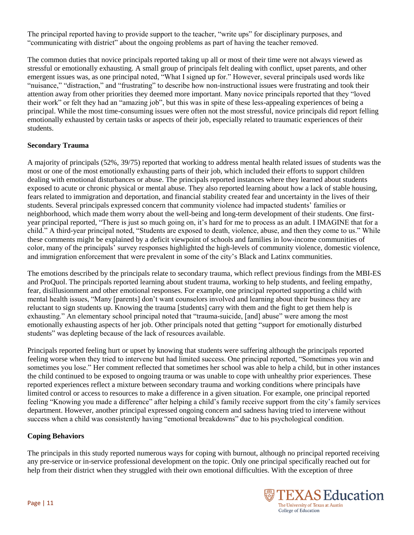The principal reported having to provide support to the teacher, "write ups" for disciplinary purposes, and "communicating with district" about the ongoing problems as part of having the teacher removed.

The common duties that novice principals reported taking up all or most of their time were not always viewed as stressful or emotionally exhausting. A small group of principals felt dealing with conflict, upset parents, and other emergent issues was, as one principal noted, "What I signed up for." However, several principals used words like "nuisance," "distraction," and "frustrating" to describe how non-instructional issues were frustrating and took their attention away from other priorities they deemed more important. Many novice principals reported that they "loved their work" or felt they had an "amazing job", but this was in spite of these less-appealing experiences of being a principal. While the most time-consuming issues were often not the most stressful, novice principals did report felling emotionally exhausted by certain tasks or aspects of their job, especially related to traumatic experiences of their students.

## **Secondary Trauma**

A majority of principals (52%, 39/75) reported that working to address mental health related issues of students was the most or one of the most emotionally exhausting parts of their job, which included their efforts to support children dealing with emotional disturbances or abuse. The principals reported instances where they learned about students exposed to acute or chronic physical or mental abuse. They also reported learning about how a lack of stable housing, fears related to immigration and deportation, and financial stability created fear and uncertainty in the lives of their students. Several principals expressed concern that community violence had impacted students' families or neighborhood, which made them worry about the well-being and long-term development of their students. One firstyear principal reported, "There is just so much going on, it's hard for me to process as an adult. I IMAGINE that for a child." A third-year principal noted, "Students are exposed to death, violence, abuse, and then they come to us." While these comments might be explained by a deficit viewpoint of schools and families in low-income communities of color, many of the principals' survey responses highlighted the high-levels of community violence, domestic violence, and immigration enforcement that were prevalent in some of the city's Black and Latinx communities.

The emotions described by the principals relate to secondary trauma, which reflect previous findings from the MBI-ES and ProQuol. The principals reported learning about student trauma, working to help students, and feeling empathy, fear, disillusionment and other emotional responses. For example, one principal reported supporting a child with mental health issues, "Many [parents] don't want counselors involved and learning about their business they are reluctant to sign students up. Knowing the trauma [students] carry with them and the fight to get them help is exhausting." An elementary school principal noted that "trauma-suicide, [and] abuse" were among the most emotionally exhausting aspects of her job. Other principals noted that getting "support for emotionally disturbed students" was depleting because of the lack of resources available.

Principals reported feeling hurt or upset by knowing that students were suffering although the principals reported feeling worse when they tried to intervene but had limited success. One principal reported, "Sometimes you win and sometimes you lose." Her comment reflected that sometimes her school was able to help a child, but in other instances the child continued to be exposed to ongoing trauma or was unable to cope with unhealthy prior experiences. These reported experiences reflect a mixture between secondary trauma and working conditions where principals have limited control or access to resources to make a difference in a given situation. For example, one principal reported feeling "Knowing you made a difference" after helping a child's family receive support from the city's family services department. However, another principal expressed ongoing concern and sadness having tried to intervene without success when a child was consistently having "emotional breakdowns" due to his psychological condition.

### **Coping Behaviors**

The principals in this study reported numerous ways for coping with burnout, although no principal reported receiving any pre-service or in-service professional development on the topic. Only one principal specifically reached out for help from their district when they struggled with their own emotional difficulties. With the exception of three

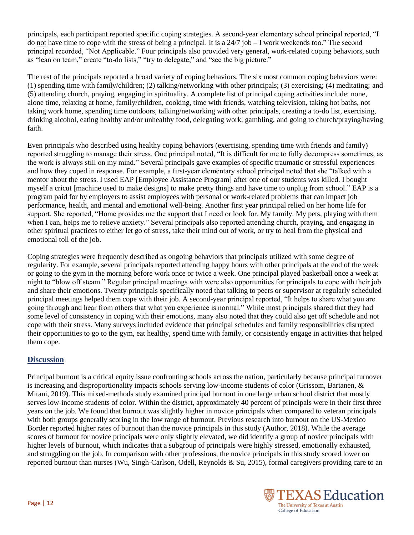principals, each participant reported specific coping strategies. A second-year elementary school principal reported, "I do not have time to cope with the stress of being a principal. It is a  $24/7$  job  $-1$  work weekends too." The second principal recorded, "Not Applicable." Four principals also provided very general, work-related coping behaviors, such as "lean on team," create "to-do lists," "try to delegate," and "see the big picture."

The rest of the principals reported a broad variety of coping behaviors. The six most common coping behaviors were: (1) spending time with family/children; (2) talking/networking with other principals; (3) exercising; (4) meditating; and (5) attending church, praying, engaging in spirituality. A complete list of principal coping activities include: none, alone time, relaxing at home, family/children, cooking, time with friends, watching television, taking hot baths, not taking work home, spending time outdoors, talking/networking with other principals, creating a to-do list, exercising, drinking alcohol, eating healthy and/or unhealthy food, delegating work, gambling, and going to church/praying/having faith.

Even principals who described using healthy coping behaviors (exercising, spending time with friends and family) reported struggling to manage their stress. One principal noted, "It is difficult for me to fully decompress sometimes, as the work is always still on my mind." Several principals gave examples of specific traumatic or stressful experiences and how they coped in response. For example, a first-year elementary school principal noted that she "talked with a mentor about the stress. I used EAP [Employee Assistance Program] after one of our students was killed. I bought myself a cricut [machine used to make designs] to make pretty things and have time to unplug from school." EAP is a program paid for by employers to assist employees with personal or work-related problems that can impact job performance, health, and mental and emotional well-being. Another first year principal relied on her home life for support. She reported, "Home provides me the support that I need or look for. My family. My pets, playing with them when I can, helps me to relieve anxiety." Several principals also reported attending church, praying, and engaging in other spiritual practices to either let go of stress, take their mind out of work, or try to heal from the physical and emotional toll of the job.

Coping strategies were frequently described as ongoing behaviors that principals utilized with some degree of regularity. For example, several principals reported attending happy hours with other principals at the end of the week or going to the gym in the morning before work once or twice a week. One principal played basketball once a week at night to "blow off steam." Regular principal meetings with were also opportunities for principals to cope with their job and share their emotions. Twenty principals specifically noted that talking to peers or supervisor at regularly scheduled principal meetings helped them cope with their job. A second-year principal reported, "It helps to share what you are going through and hear from others that what you experience is normal." While most principals shared that they had some level of consistency in coping with their emotions, many also noted that they could also get off schedule and not cope with their stress. Many surveys included evidence that principal schedules and family responsibilities disrupted their opportunities to go to the gym, eat healthy, spend time with family, or consistently engage in activities that helped them cope.

# **Discussion**

Principal burnout is a critical equity issue confronting schools across the nation, particularly because principal turnover is increasing and disproportionality impacts schools serving low-income students of color (Grissom, Bartanen, & Mitani, 2019). This mixed-methods study examined principal burnout in one large urban school district that mostly serves low-income students of color. Within the district, approximately 40 percent of principals were in their first three years on the job. We found that burnout was slightly higher in novice principals when compared to veteran principals with both groups generally scoring in the low range of burnout. Previous research into burnout on the US-Mexico Border reported higher rates of burnout than the novice principals in this study (Author, 2018). While the average scores of burnout for novice principals were only slightly elevated, we did identify a group of novice principals with higher levels of burnout, which indicates that a subgroup of principals were highly stressed, emotionally exhausted, and struggling on the job. In comparison with other professions, the novice principals in this study scored lower on reported burnout than nurses (Wu, Singh-Carlson, Odell, Reynolds & Su, 2015), formal caregivers providing care to an

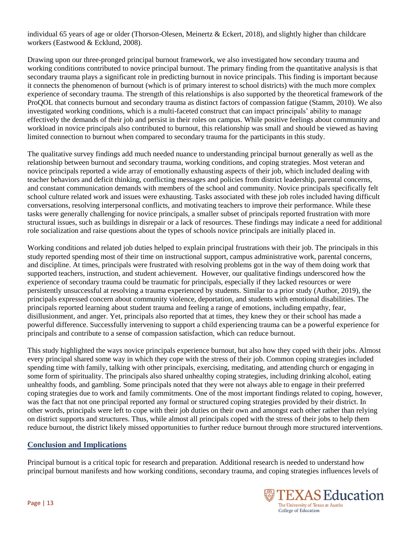individual 65 years of age or older (Thorson-Olesen, Meinertz & Eckert, 2018), and slightly higher than childcare workers (Eastwood & Ecklund, 2008).

Drawing upon our three-pronged principal burnout framework, we also investigated how secondary trauma and working conditions contributed to novice principal burnout. The primary finding from the quantitative analysis is that secondary trauma plays a significant role in predicting burnout in novice principals. This finding is important because it connects the phenomenon of burnout (which is of primary interest to school districts) with the much more complex experience of secondary trauma. The strength of this relationships is also supported by the theoretical framework of the ProQOL that connects burnout and secondary trauma as distinct factors of compassion fatigue (Stamm, 2010). We also investigated working conditions, which is a multi-faceted construct that can impact principals' ability to manage effectively the demands of their job and persist in their roles on campus. While positive feelings about community and workload in novice principals also contributed to burnout, this relationship was small and should be viewed as having limited connection to burnout when compared to secondary trauma for the participants in this study.

The qualitative survey findings add much needed nuance to understanding principal burnout generally as well as the relationship between burnout and secondary trauma, working conditions, and coping strategies. Most veteran and novice principals reported a wide array of emotionally exhausting aspects of their job, which included dealing with teacher behaviors and deficit thinking, conflicting messages and policies from district leadership, parental concerns, and constant communication demands with members of the school and community. Novice principals specifically felt school culture related work and issues were exhausting. Tasks associated with these job roles included having difficult conversations, resolving interpersonal conflicts, and motivating teachers to improve their performance. While these tasks were generally challenging for novice principals, a smaller subset of principals reported frustration with more structural issues, such as buildings in disrepair or a lack of resources. These findings may indicate a need for additional role socialization and raise questions about the types of schools novice principals are initially placed in.

Working conditions and related job duties helped to explain principal frustrations with their job. The principals in this study reported spending most of their time on instructional support, campus administrative work, parental concerns, and discipline. At times, principals were frustrated with resolving problems got in the way of them doing work that supported teachers, instruction, and student achievement. However, our qualitative findings underscored how the experience of secondary trauma could be traumatic for principals, especially if they lacked resources or were persistently unsuccessful at resolving a trauma experienced by students. Similar to a prior study (Author, 2019), the principals expressed concern about community violence, deportation, and students with emotional disabilities. The principals reported learning about student trauma and feeling a range of emotions, including empathy, fear, disillusionment, and anger. Yet, principals also reported that at times, they knew they or their school has made a powerful difference. Successfully intervening to support a child experiencing trauma can be a powerful experience for principals and contribute to a sense of compassion satisfaction, which can reduce burnout.

This study highlighted the ways novice principals experience burnout, but also how they coped with their jobs. Almost every principal shared some way in which they cope with the stress of their job. Common coping strategies included spending time with family, talking with other principals, exercising, meditating, and attending church or engaging in some form of spirituality. The principals also shared unhealthy coping strategies, including drinking alcohol, eating unhealthy foods, and gambling. Some principals noted that they were not always able to engage in their preferred coping strategies due to work and family commitments. One of the most important findings related to coping, however, was the fact that not one principal reported any formal or structured coping strategies provided by their district. In other words, principals were left to cope with their job duties on their own and amongst each other rather than relying on district supports and structures. Thus, while almost all principals coped with the stress of their jobs to help them reduce burnout, the district likely missed opportunities to further reduce burnout through more structured interventions.

### **Conclusion and Implications**

Principal burnout is a critical topic for research and preparation. Additional research is needed to understand how principal burnout manifests and how working conditions, secondary trauma, and coping strategies influences levels of

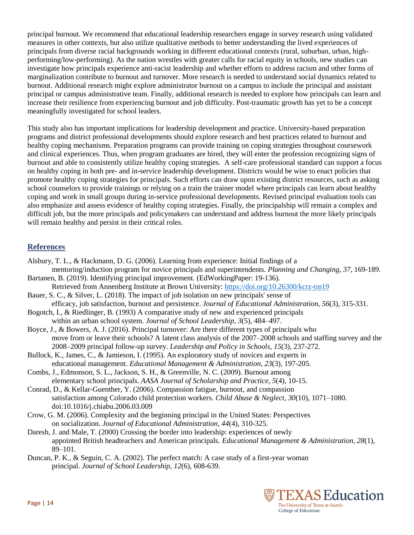principal burnout. We recommend that educational leadership researchers engage in survey research using validated measures in other contexts, but also utilize qualitative methods to better understanding the lived experiences of principals from diverse racial backgrounds working in different educational contexts (rural, suburban, urban, highperforming/low-performing). As the nation wrestles with greater calls for racial equity in schools, new studies can investigate how principals experience anti-racist leadership and whether efforts to address racism and other forms of marginalization contribute to burnout and turnover. More research is needed to understand social dynamics related to burnout. Additional research might explore administrator burnout on a campus to include the principal and assistant principal or campus administrative team. Finally, additional research is needed to explore how principals can learn and increase their resilience from experiencing burnout and job difficulty. Post-traumatic growth has yet to be a concept meaningfully investigated for school leaders.

This study also has important implications for leadership development and practice. University-based preparation programs and district professional developments should explore research and best practices related to burnout and healthy coping mechanisms. Preparation programs can provide training on coping strategies throughout coursework and clinical experiences. Thus, when program graduates are hired, they will enter the profession recognizing signs of burnout and able to consistently utilize healthy coping strategies. A self-care professional standard can support a focus on healthy coping in both pre- and in-service leadership development. Districts would be wise to enact policies that promote healthy coping strategies for principals. Such efforts can draw upon existing district resources, such as asking school counselors to provide trainings or relying on a train the trainer model where principals can learn about healthy coping and work in small groups during in-service professional developments. Revised principal evaluation tools can also emphasize and assess evidence of healthy coping strategies. Finally, the principalship will remain a complex and difficult job, but the more principals and policymakers can understand and address burnout the more likely principals will remain healthy and persist in their critical roles.

# **References**

- Alsbury, T. L., & Hackmann, D. G. (2006). Learning from experience: Initial findings of a
- mentoring/induction program for novice principals and superintendents. *Planning and Changing*, *37*, 169-189. Bartanen, B. (2019). Identifying principal improvement. (EdWorkingPaper: 19-136).
- Retrieved from Annenberg Institute at Brown University:<https://doi.org/10.26300/kcrz-tm19>
- Bauer, S. C., & Silver, L. (2018). The impact of job isolation on new principals' sense of
- efficacy, job satisfaction, burnout and persistence. *Journal of Educational Administration*, *56*(3), 315-331. Bogotch, I., & Riedlinger, B. (1993) A comparative study of new and experienced principals
- within an urban school system. *Journal of School Leadership, 3*(5), 484–497.
- Boyce, J., & Bowers, A. J. (2016). Principal turnover: Are there different types of principals who move from or leave their schools? A latent class analysis of the 2007–2008 schools and staffing survey and the 2008–2009 principal follow-up survey. *Leadership and Policy in Schools*, *15*(3), 237-272.
- Bullock, K., James, C., & Jamieson, I. (1995). An exploratory study of novices and experts in educational management. *Educational Management & Administration*, *23*(3), 197-205.
- Combs, J., Edmonson, S. L., Jackson, S. H., & Greenville, N. C. (2009). Burnout among elementary school principals. *AASA Journal of Scholarship and Practice*, *5*(4), 10-15.
- Conrad, D., & Kellar-Guenther, Y. (2006). Compassion fatigue, burnout, and compassion satisfaction among Colorado child protection workers. *Child Abuse & Neglect, 30*(10), 1071–1080. doi:10.1016/j.chiabu.2006.03.009
- Crow, G. M. (2006). Complexity and the beginning principal in the United States: Perspectives on socialization. *Journal of Educational Administration, 44*(4), 310-325.
- Daresh, J. and Male, T. (2000) Crossing the border into leadership: experiences of newly appointed British headteachers and American principals. *Educational Management & Administration, 28*(1), 89–101.
- Duncan, P. K., & Seguin, C. A. (2002). The perfect match: A case study of a first-year woman principal. *Journal of School Leadership*, *12*(6), 608-639.

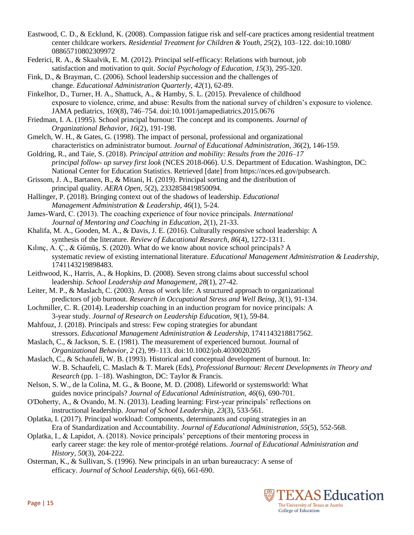- Eastwood, C. D., & Ecklund, K. (2008). Compassion fatigue risk and self-care practices among residential treatment center childcare workers. *Residential Treatment for Children & Youth, 25*(2), 103–122. doi:10.1080/ 08865710802309972
- Federici, R. A., & Skaalvik, E. M. (2012). Principal self-efficacy: Relations with burnout, job satisfaction and motivation to quit. *Social Psychology of Education*, *15*(3), 295-320.

Fink, D., & Brayman, C. (2006). School leadership succession and the challenges of change. *Educational Administration Quarterly*, *42*(1), 62-89.

Finkelhor, D., Turner, H. A., Shattuck, A., & Hamby, S. L. (2015). Prevalence of childhood exposure to violence, crime, and abuse: Results from the national survey of children's exposure to violence. JAMA pediatrics, 169(8), 746–754. doi:10.1001/jamapediatrics.2015.0676

Friedman, I. A. (1995). School principal burnout: The concept and its components. *Journal of Organizational Behavior*, *16*(2), 191-198.

Gmelch, W. H., & Gates, G. (1998). The impact of personal, professional and organizational characteristics on administrator burnout. *Journal of Educational Administration*, *36*(2), 146-159.

Goldring, R., and Taie, S. (2018). *Principal attrition and mobility: Results from the 2016–17 principal follow- up survey first look* (NCES 2018-066). U.S. Department of Education. Washington, DC: National Center for Education Statistics. Retrieved [date] from https://nces.ed.gov/pubsearch.

Grissom, J. A., Bartanen, B., & Mitani, H. (2019). Principal sorting and the distribution of principal quality. *AERA Open*, *5*(2), 2332858419850094.

Hallinger, P. (2018). Bringing context out of the shadows of leadership. *Educational Management Administration & Leadership*, *46*(1), 5-24.

James‐Ward, C. (2013). The coaching experience of four novice principals. *International Journal of Mentoring and Coaching in Education*, *2*(1), 21-33.

Khalifa, M. A., Gooden, M. A., & Davis, J. E. (2016). Culturally responsive school leadership: A synthesis of the literature. *Review of Educational Research*, *86*(4), 1272-1311.

Kılınç, A. Ç., & Gümüş, S. (2020). What do we know about novice school principals? A systematic review of existing international literature. *Educational Management Administration & Leadership*, 1741143219898483.

Leithwood, K., Harris, A., & Hopkins, D. (2008). Seven strong claims about successful school leadership. *School Leadership and Management*, *28*(1), 27-42.

Leiter, M. P., & Maslach, C. (2003). Areas of work life: A structured approach to organizational predictors of job burnout. *Research in Occupational Stress and Well Being*, *3*(1), 91-134.

Lochmiller, C. R. (2014). Leadership coaching in an induction program for novice principals: A 3-year study. *Journal of Research on Leadership Education*, *9*(1), 59-84.

Mahfouz, J. (2018). Principals and stress: Few coping strategies for abundant stressors. *Educational Management Administration & Leadership*, 1741143218817562.

Maslach, C., & Jackson, S. E. (1981). The measurement of experienced burnout. Journal of *Organizational Behavior, 2* (2), 99–113. doi:10.1002/job.4030020205

Maslach, C., & Schaufeli, W. B. (1993). Historical and conceptual development of burnout. In: W. B. Schaufeli, C. Maslach & T. Marek (Eds), *Professional Burnout: Recent Developments in Theory and Research* (pp. 1–18). Washington, DC: Taylor & Francis.

- Nelson, S. W., de la Colina, M. G., & Boone, M. D. (2008). Lifeworld or systemsworld: What guides novice principals? *Journal of Educational Administration*, *46*(6), 690-701.
- O'Doherty, A., & Ovando, M. N. (2013). Leading learning: First-year principals' reflections on instructional leadership. *Journal of School Leadership, 23*(3), 533-561.

Oplatka, I. (2017). Principal workload: Components, determinants and coping strategies in an Era of Standardization and Accountability. *Journal of Educational Administration*, *55*(5), 552-568.

- Oplatka, I., & Lapidot, A. (2018). Novice principals' perceptions of their mentoring process in early career stage: the key role of mentor-protégé relations. *Journal of Educational Administration and History*, *50*(3), 204-222.
- Osterman, K., & Sullivan, S. (1996). New principals in an urban bureaucracy: A sense of efficacy. *Journal of School Leadership*, *6*(6), 661-690.

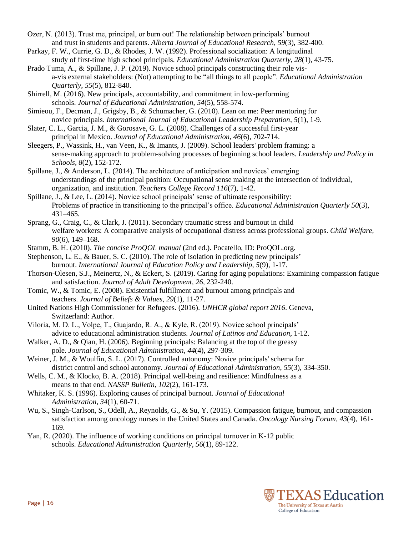- Ozer, N. (2013). Trust me, principal, or burn out! The relationship between principals' burnout and trust in students and parents. *Alberta Journal of Educational Research*, *59*(3), 382-400.
- Parkay, F. W., Currie, G. D., & Rhodes, J. W. (1992). Professional socialization: A longitudinal study of first-time high school principals. *Educational Administration Quarterly*, *28*(1), 43-75.
- Prado Tuma, A., & Spillane, J. P. (2019). Novice school principals constructing their role visa-vis external stakeholders: (Not) attempting to be "all things to all people". *Educational Administration Quarterly*, *55*(5), 812-840.
- Shirrell, M. (2016). New principals, accountability, and commitment in low-performing schools. *Journal of Educational Administration*, *54*(5), 558-574.
- Simieou, F., Decman, J., Grigsby, B., & Schumacher, G. (2010). Lean on me: Peer mentoring for novice principals. *International Journal of Educational Leadership Preparation*, *5*(1), 1-9.
- Slater, C. L., Garcia, J. M., & Gorosave, G. L. (2008). Challenges of a successful first-year principal in Mexico. *Journal of Educational Administration*, *46*(6), 702-714.
- Sleegers, P., Wassink, H., van Veen, K., & Imants, J. (2009). School leaders' problem framing: a sense-making approach to problem-solving processes of beginning school leaders. *Leadership and Policy in Schools*, *8*(2), 152-172.
- Spillane, J., & Anderson, L. (2014). The architecture of anticipation and novices' emerging understandings of the principal position: Occupational sense making at the intersection of individual, organization, and institution. *Teachers College Record 116*(7), 1-42.
- Spillane, J., & Lee, L. (2014). Novice school principals' sense of ultimate responsibility: Problems of practice in transitioning to the principal's office. *Educational Administration Quarterly 50*(3), 431–465.
- Sprang, G., Craig, C., & Clark, J. (2011). Secondary traumatic stress and burnout in child welfare workers: A comparative analysis of occupational distress across professional groups. *Child Welfare, 90*(6), 149–168.
- Stamm, B. H. (2010). *The concise ProQOL manual* (2nd ed.). Pocatello, ID: ProQOL.org.
- Stephenson, L. E., & Bauer, S. C. (2010). The role of isolation in predicting new principals' burnout. *International Journal of Education Policy and Leadership*, *5*(9), 1-17.
- Thorson-Olesen, S.J., Meinertz, N., & Eckert, S. (2019). Caring for aging populations: Examining compassion fatigue and satisfaction. *Journal of Adult Development, 26*, 232-240.
- Tomic, W., & Tomic, E. (2008). Existential fulfillment and burnout among principals and teachers. *Journal of Beliefs & Values*, *29*(1), 11-27.
- United Nations High Commissioner for Refugees. (2016). *UNHCR global report 2016*. Geneva, Switzerland: Author.
- Viloria, M. D. L., Volpe, T., Guajardo, R. A., & Kyle, R. (2019). Novice school principals' advice to educational administration students. *Journal of Latinos and Education*, 1-12.
- Walker, A. D., & Qian, H. (2006). Beginning principals: Balancing at the top of the greasy pole. *Journal of Educational Administration*, *44*(4), 297-309.
- Weiner, J. M., & Woulfin, S. L. (2017). Controlled autonomy: Novice principals' schema for district control and school autonomy. *Journal of Educational Administration*, *55*(3), 334-350.
- Wells, C. M., & Klocko, B. A. (2018). Principal well-being and resilience: Mindfulness as a means to that end. *NASSP Bulletin*, *102*(2), 161-173.
- Whitaker, K. S. (1996). Exploring causes of principal burnout. *Journal of Educational Administration*, *34*(1), 60-71.
- Wu, S., Singh-Carlson, S., Odell, A., Reynolds, G., & Su, Y. (2015). Compassion fatigue, burnout, and compassion satisfaction among oncology nurses in the United States and Canada. *Oncology Nursing Forum, 43*(4), 161- 169.
- Yan, R. (2020). The influence of working conditions on principal turnover in K-12 public schools. *Educational Administration Quarterly*, *56*(1), 89-122.